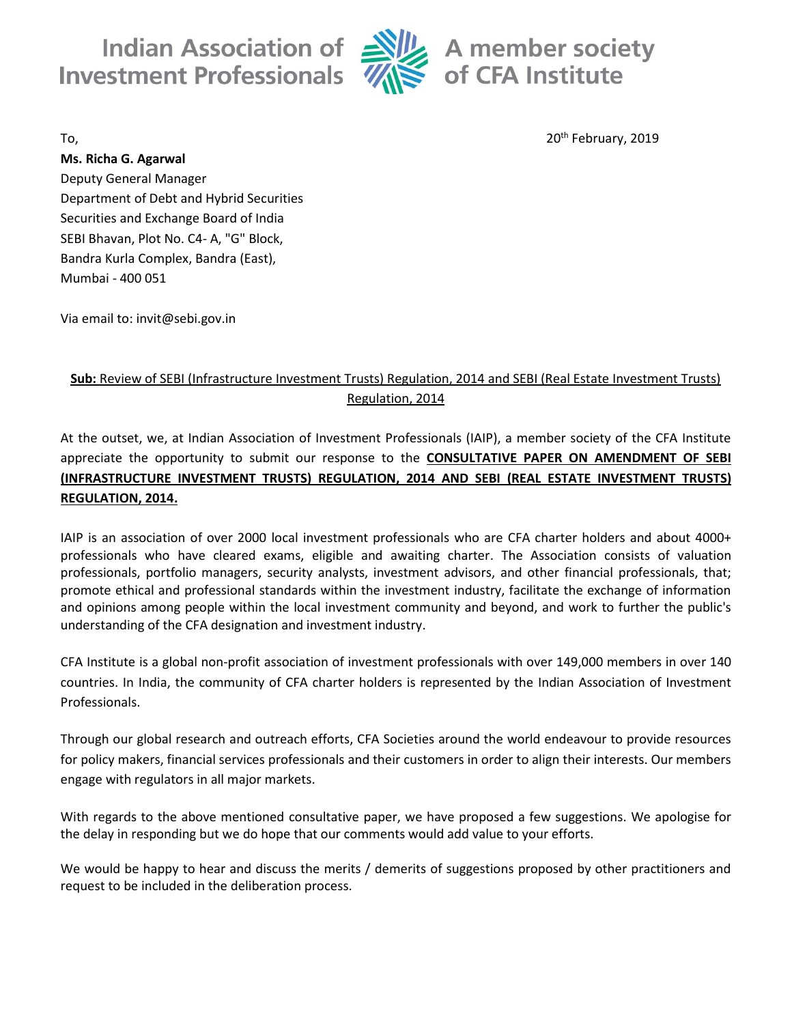**Indian Association of**  $\triangleq$ **Investment Professionals** 



 $\frac{1}{2}$  A member society  $\frac{1}{2}$  of CFA Institute

To, 20th February, 2019

**Ms. Richa G. Agarwal** Deputy General Manager Department of Debt and Hybrid Securities Securities and Exchange Board of India SEBI Bhavan, Plot No. C4- A, "G" Block, Bandra Kurla Complex, Bandra (East), Mumbai - 400 051

Via email to: invit@sebi.gov.in

## **Sub:** Review of SEBI (Infrastructure Investment Trusts) Regulation, 2014 and SEBI (Real Estate Investment Trusts) Regulation, 2014

At the outset, we, at Indian Association of Investment Professionals (IAIP), a member society of the CFA Institute appreciate the opportunity to submit our response to the **CONSULTATIVE PAPER ON AMENDMENT OF SEBI (INFRASTRUCTURE INVESTMENT TRUSTS) REGULATION, 2014 AND SEBI (REAL ESTATE INVESTMENT TRUSTS) REGULATION, 2014.**

IAIP is an association of over 2000 local investment professionals who are CFA charter holders and about 4000+ professionals who have cleared exams, eligible and awaiting charter. The Association consists of valuation professionals, portfolio managers, security analysts, investment advisors, and other financial professionals, that; promote ethical and professional standards within the investment industry, facilitate the exchange of information and opinions among people within the local investment community and beyond, and work to further the public's understanding of the CFA designation and investment industry.

CFA Institute is a global non-profit association of investment professionals with over 149,000 members in over 140 countries. In India, the community of CFA charter holders is represented by the Indian Association of Investment Professionals.

Through our global research and outreach efforts, CFA Societies around the world endeavour to provide resources for policy makers, financial services professionals and their customers in order to align their interests. Our members engage with regulators in all major markets.

With regards to the above mentioned consultative paper, we have proposed a few suggestions. We apologise for the delay in responding but we do hope that our comments would add value to your efforts.

We would be happy to hear and discuss the merits / demerits of suggestions proposed by other practitioners and request to be included in the deliberation process.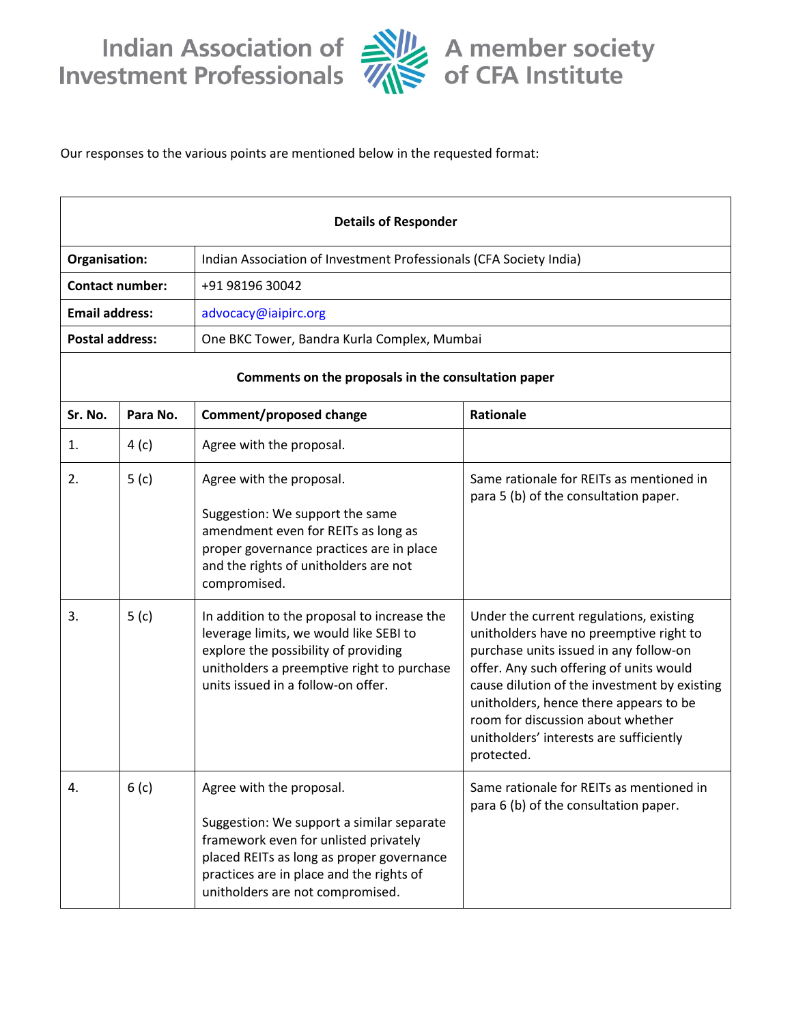

Our responses to the various points are mentioned below in the requested format:

| <b>Details of Responder</b>                         |                  |                                                                                                                                                                                                                                             |                                                                                                                                                                                                                                                                                                                                                                 |
|-----------------------------------------------------|------------------|---------------------------------------------------------------------------------------------------------------------------------------------------------------------------------------------------------------------------------------------|-----------------------------------------------------------------------------------------------------------------------------------------------------------------------------------------------------------------------------------------------------------------------------------------------------------------------------------------------------------------|
| Organisation:                                       |                  | Indian Association of Investment Professionals (CFA Society India)                                                                                                                                                                          |                                                                                                                                                                                                                                                                                                                                                                 |
| <b>Contact number:</b>                              |                  | +91 98196 30042                                                                                                                                                                                                                             |                                                                                                                                                                                                                                                                                                                                                                 |
| <b>Email address:</b>                               |                  | advocacy@iaipirc.org                                                                                                                                                                                                                        |                                                                                                                                                                                                                                                                                                                                                                 |
| <b>Postal address:</b>                              |                  | One BKC Tower, Bandra Kurla Complex, Mumbai                                                                                                                                                                                                 |                                                                                                                                                                                                                                                                                                                                                                 |
| Comments on the proposals in the consultation paper |                  |                                                                                                                                                                                                                                             |                                                                                                                                                                                                                                                                                                                                                                 |
| Sr. No.                                             | Para No.         | Comment/proposed change                                                                                                                                                                                                                     | Rationale                                                                                                                                                                                                                                                                                                                                                       |
| 1.                                                  | 4(c)             | Agree with the proposal.                                                                                                                                                                                                                    |                                                                                                                                                                                                                                                                                                                                                                 |
| 2.                                                  | 5(c)             | Agree with the proposal.<br>Suggestion: We support the same<br>amendment even for REITs as long as<br>proper governance practices are in place<br>and the rights of unitholders are not<br>compromised.                                     | Same rationale for REITs as mentioned in<br>para 5 (b) of the consultation paper.                                                                                                                                                                                                                                                                               |
| 3.                                                  | 5(c)             | In addition to the proposal to increase the<br>leverage limits, we would like SEBI to<br>explore the possibility of providing<br>unitholders a preemptive right to purchase<br>units issued in a follow-on offer.                           | Under the current regulations, existing<br>unitholders have no preemptive right to<br>purchase units issued in any follow-on<br>offer. Any such offering of units would<br>cause dilution of the investment by existing<br>unitholders, hence there appears to be<br>room for discussion about whether<br>unitholders' interests are sufficiently<br>protected. |
| 4.                                                  | 6 <sub>(c)</sub> | Agree with the proposal.<br>Suggestion: We support a similar separate<br>framework even for unlisted privately<br>placed REITs as long as proper governance<br>practices are in place and the rights of<br>unitholders are not compromised. | Same rationale for REITs as mentioned in<br>para 6 (b) of the consultation paper.                                                                                                                                                                                                                                                                               |